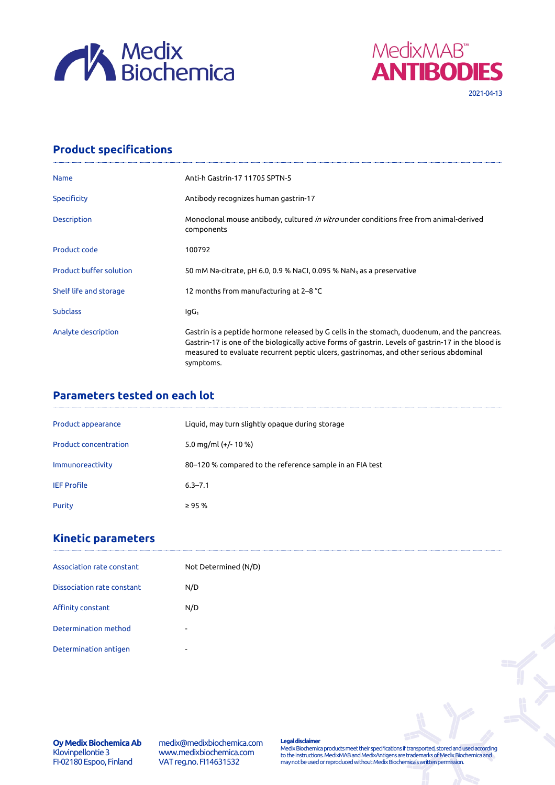



# **Product specifications**

| <b>Name</b>                    | Anti-h Gastrin-17 11705 SPTN-5                                                                                                                                                                                                                                                                             |
|--------------------------------|------------------------------------------------------------------------------------------------------------------------------------------------------------------------------------------------------------------------------------------------------------------------------------------------------------|
| Specificity                    | Antibody recognizes human gastrin-17                                                                                                                                                                                                                                                                       |
| <b>Description</b>             | Monoclonal mouse antibody, cultured <i>in vitro</i> under conditions free from animal-derived<br>components                                                                                                                                                                                                |
| Product code                   | 100792                                                                                                                                                                                                                                                                                                     |
| <b>Product buffer solution</b> | 50 mM Na-citrate, pH 6.0, 0.9 % NaCl, 0.095 % NaN <sub>3</sub> as a preservative                                                                                                                                                                                                                           |
| Shelf life and storage         | 12 months from manufacturing at 2–8 °C                                                                                                                                                                                                                                                                     |
| <b>Subclass</b>                | $IqG_1$                                                                                                                                                                                                                                                                                                    |
| Analyte description            | Gastrin is a peptide hormone released by G cells in the stomach, duodenum, and the pancreas.<br>Gastrin-17 is one of the biologically active forms of gastrin. Levels of gastrin-17 in the blood is<br>measured to evaluate recurrent peptic ulcers, gastrinomas, and other serious abdominal<br>symptoms. |

# **Parameters tested on each lot**

| Product appearance           | Liquid, may turn slightly opaque during storage          |
|------------------------------|----------------------------------------------------------|
| <b>Product concentration</b> | 5.0 mg/ml $(+/- 10 %$                                    |
| Immunoreactivity             | 80–120 % compared to the reference sample in an FIA test |
| <b>IEF Profile</b>           | $6.3 - 7.1$                                              |
| Purity                       | $\geq$ 95 %                                              |

## **Kinetic parameters**

| Association rate constant  | Not Determined (N/D)     |
|----------------------------|--------------------------|
| Dissociation rate constant | N/D                      |
| Affinity constant          | N/D                      |
| Determination method       | $\sim$                   |
| Determination antigen      | $\overline{\phantom{0}}$ |

**Oy Medix Biochemica Ab** Klovinpellontie 3 FI-02180 Espoo, Finland

medix@medixbiochemica.com www.medixbiochemica.com VAT reg.no. FI14631532

**Legal disclaimer** Medix Biochemica products meet their specifications if transported, stored and used according to the instructions. MedixMAB and MedixAntigens are trademarks of Medix Biochemica and may not be used or reproduced without Medix Biochemica's written permission.